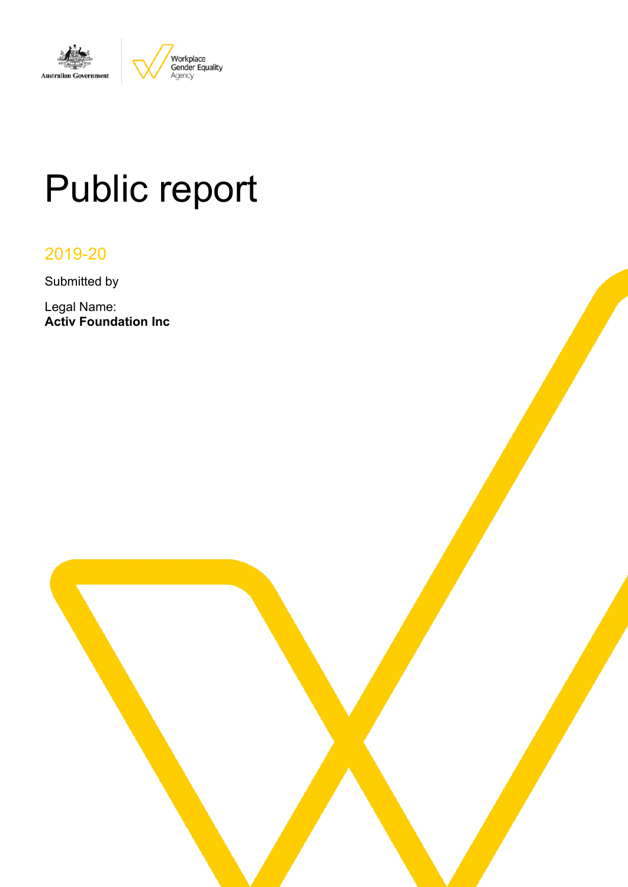

# Public report

# 2019-20

Submitted by

Legal Name: **Activ Foundation Inc**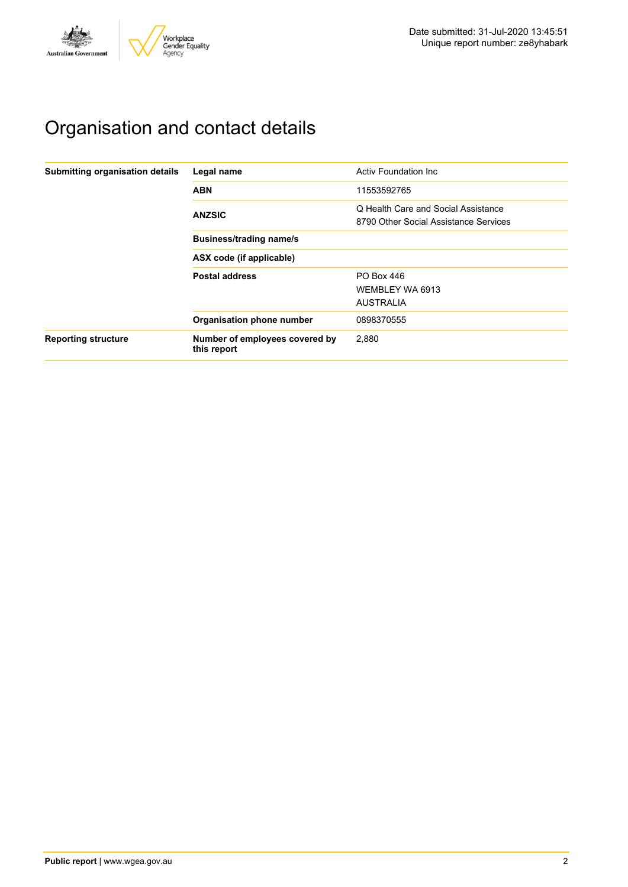

# Organisation and contact details

| Submitting organisation details | Legal name                                    | Activ Foundation Inc.                                                        |  |  |  |  |
|---------------------------------|-----------------------------------------------|------------------------------------------------------------------------------|--|--|--|--|
|                                 | <b>ABN</b>                                    | 11553592765                                                                  |  |  |  |  |
|                                 | <b>ANZSIC</b>                                 | Q Health Care and Social Assistance<br>8790 Other Social Assistance Services |  |  |  |  |
|                                 | <b>Business/trading name/s</b>                |                                                                              |  |  |  |  |
|                                 | ASX code (if applicable)                      |                                                                              |  |  |  |  |
|                                 | <b>Postal address</b>                         | PO Box 446                                                                   |  |  |  |  |
|                                 |                                               | WEMBLEY WA 6913                                                              |  |  |  |  |
|                                 |                                               | <b>AUSTRALIA</b>                                                             |  |  |  |  |
|                                 | Organisation phone number                     | 0898370555                                                                   |  |  |  |  |
| <b>Reporting structure</b>      | Number of employees covered by<br>this report | 2.880                                                                        |  |  |  |  |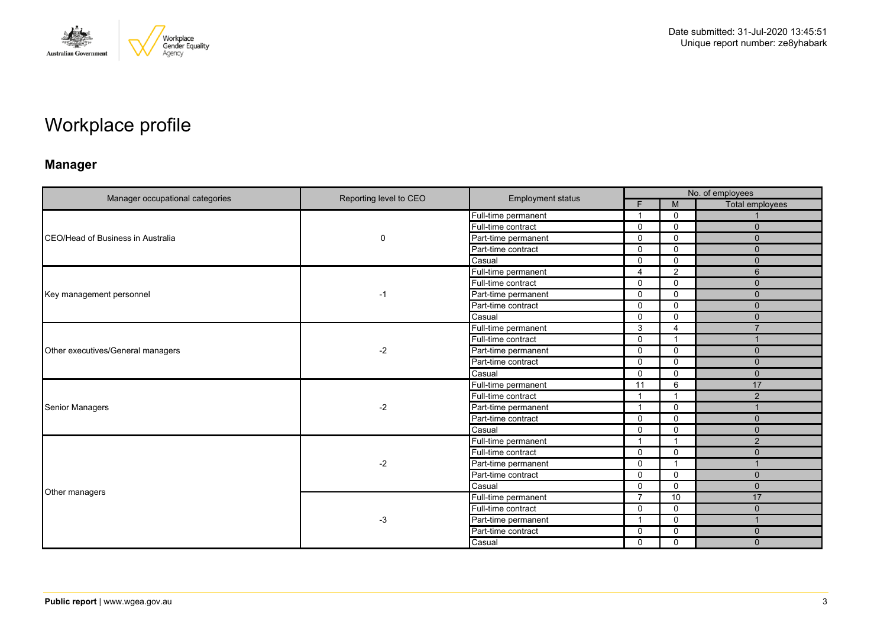

# Workplace profile

### **Manager**

|                                   |                        |                          | No. of employees |                |                 |
|-----------------------------------|------------------------|--------------------------|------------------|----------------|-----------------|
| Manager occupational categories   | Reporting level to CEO | <b>Employment status</b> | Е                | M              | Total employees |
|                                   | $\mathbf 0$            | Full-time permanent      | 1                | $\Omega$       |                 |
|                                   |                        | Full-time contract       | $\mathbf{0}$     | $\mathbf 0$    | $\mathbf{0}$    |
| CEO/Head of Business in Australia |                        | Part-time permanent      | $\Omega$         | $\mathbf{0}$   | $\Omega$        |
|                                   |                        | Part-time contract       | $\mathbf 0$      | $\Omega$       | $\mathbf{0}$    |
|                                   |                        | Casual                   | $\mathbf{0}$     | $\mathbf 0$    | $\mathbf{0}$    |
|                                   |                        | Full-time permanent      | 4                | 2              | 6               |
|                                   |                        | Full-time contract       | $\mathbf 0$      | $\mathbf 0$    | $\mathbf{0}$    |
| Key management personnel          | $-1$                   | Part-time permanent      | $\mathbf{0}$     | 0              | $\Omega$        |
|                                   |                        | Part-time contract       | $\Omega$         | $\mathbf{0}$   | $\mathbf{0}$    |
|                                   |                        | Casual                   | $\Omega$         | $\mathbf{0}$   | $\Omega$        |
|                                   |                        | Full-time permanent      | 3                | $\overline{4}$ | $\overline{ }$  |
|                                   | $-2$                   | Full-time contract       | $\Omega$         | $\overline{1}$ |                 |
| Other executives/General managers |                        | Part-time permanent      | $\mathbf 0$      | $\mathbf 0$    | $\mathbf{0}$    |
|                                   |                        | Part-time contract       | $\Omega$         | 0              | $\mathbf{0}$    |
|                                   |                        | Casual                   | $\Omega$         | $\mathbf 0$    | $\Omega$        |
|                                   |                        | Full-time permanent      | 11               | 6              | 17              |
|                                   |                        | Full-time contract       | $\overline{1}$   | - 1            | 2               |
| <b>Senior Managers</b>            | $-2$                   | Part-time permanent      | 1                | $\mathbf 0$    |                 |
|                                   |                        | Part-time contract       | $\mathbf 0$      | $\mathbf 0$    | $\mathbf{0}$    |
|                                   |                        | Casual                   | $\mathbf{0}$     | $\Omega$       | $\mathbf{0}$    |
|                                   |                        | Full-time permanent      | 1                | $\overline{1}$ | 2               |
|                                   |                        | Full-time contract       | $\mathbf 0$      | $\mathbf{0}$   | $\mathbf{0}$    |
|                                   | $-2$                   | Part-time permanent      | $\mathbf 0$      | - 1            |                 |
|                                   |                        | Part-time contract       | $\Omega$         | $\mathbf 0$    | $\Omega$        |
|                                   |                        | Casual                   | $\mathbf{0}$     | $\mathbf{0}$   | $\mathbf{0}$    |
| Other managers                    |                        | Full-time permanent      | $\overline{7}$   | 10             | 17              |
|                                   |                        | Full-time contract       | $\Omega$         | $\mathbf 0$    | $\Omega$        |
|                                   | $-3$                   | Part-time permanent      | 1                | $\mathbf 0$    | $\overline{1}$  |
|                                   |                        | Part-time contract       | $\Omega$         | $\Omega$       | $\Omega$        |
|                                   |                        | Casual                   | 0                | $\mathbf 0$    | $\Omega$        |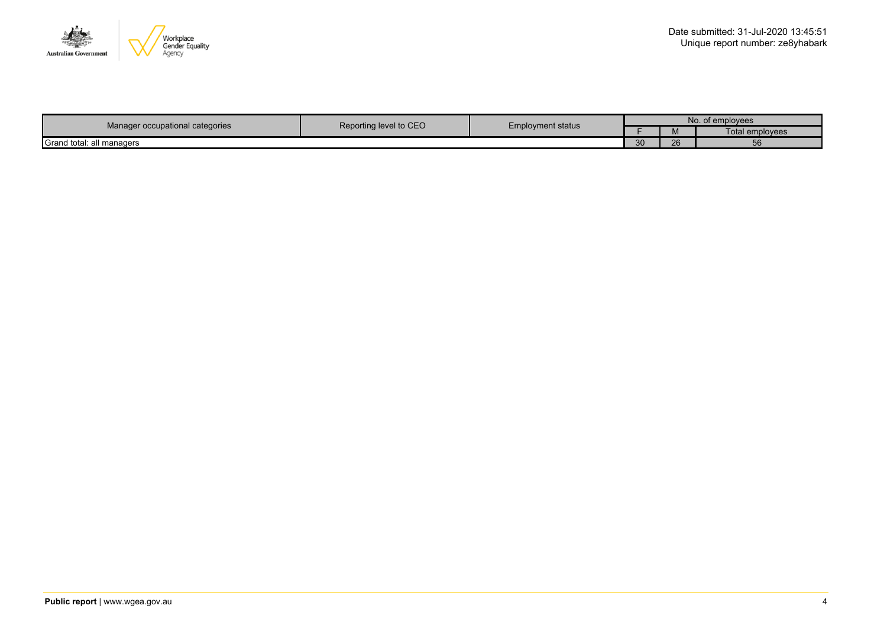

|                                 | Reporting level to CEO |                          | No. of employees |              |                 |
|---------------------------------|------------------------|--------------------------|------------------|--------------|-----------------|
| Manager occupational categories |                        | <b>Employment status</b> |                  | <b>IVI</b>   | Total employees |
| Grand total: all managers       |                        |                          | $\Omega$<br>ບບ   | $\sim$<br>20 | 56              |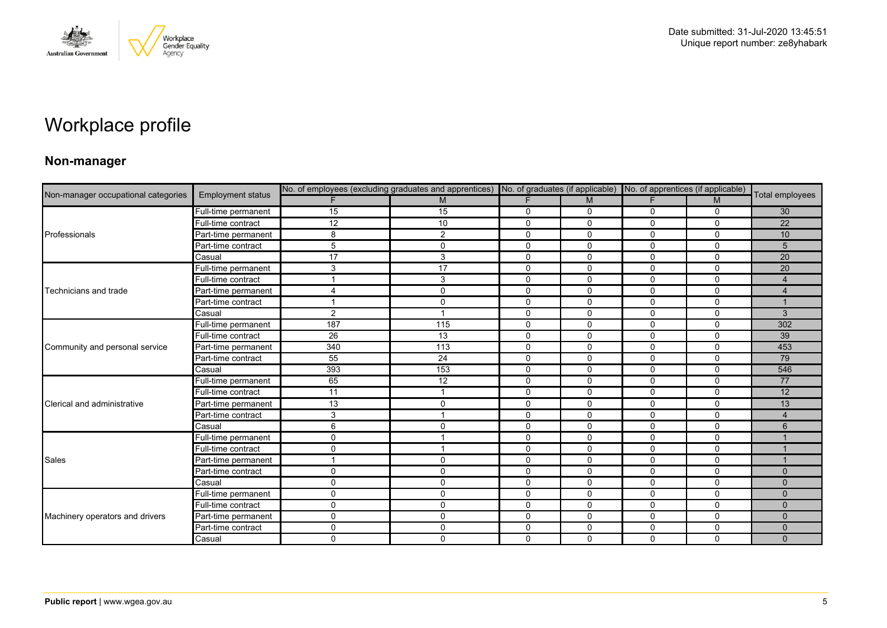

# Workplace profile

### **Non-manager**

|                                     |                          |              |                |              |              | No. of employees (excluding graduates and apprentices) No. of graduates (if applicable) No. of apprentices (if applicable) |              |                 |
|-------------------------------------|--------------------------|--------------|----------------|--------------|--------------|----------------------------------------------------------------------------------------------------------------------------|--------------|-----------------|
| Non-manager occupational categories | <b>Employment status</b> |              | M              |              | M            | E                                                                                                                          | M            | Total employees |
|                                     | Full-time permanent      | 15           | 15             | 0            | $\mathbf 0$  | 0                                                                                                                          | $\mathbf 0$  | 30              |
|                                     | Full-time contract       | 12           | 10             | $\mathbf 0$  | $\mathbf 0$  | 0                                                                                                                          | $\mathbf 0$  | 22              |
| Professionals                       | Part-time permanent      | 8            | 2              | $\mathbf{0}$ | $\mathbf{0}$ | $\Omega$                                                                                                                   | $\Omega$     | 10              |
|                                     | Part-time contract       | 5            | 0              | $\mathbf 0$  | $\mathbf 0$  | 0                                                                                                                          | $\mathbf 0$  | 5               |
|                                     | Casual                   | 17           | 3              | $\mathbf 0$  | $\mathbf 0$  | $\Omega$                                                                                                                   | $\mathbf 0$  | 20              |
|                                     | Full-time permanent      | 3            | 17             | $\mathbf 0$  | $\mathbf 0$  | 0                                                                                                                          | $\mathbf 0$  | 20              |
|                                     | Full-time contract       |              | 3              | 0            | 0            | 0                                                                                                                          | $\mathbf 0$  | $\overline{4}$  |
| Technicians and trade               | Part-time permanent      | 4            | $\mathbf 0$    | $\mathbf 0$  | $\mathbf{0}$ | $\Omega$                                                                                                                   | $\Omega$     | $\overline{4}$  |
|                                     | Part-time contract       |              | $\mathbf 0$    | $\mathbf 0$  | $\mathbf 0$  | 0                                                                                                                          | $\mathbf 0$  |                 |
|                                     | Casual                   | 2            | $\mathbf{1}$   | $\mathbf 0$  | $\mathbf 0$  | $\mathbf 0$                                                                                                                | $\mathbf 0$  | 3               |
|                                     | Full-time permanent      | 187          | 115            | $\mathbf{0}$ | $\mathbf{0}$ | $\Omega$                                                                                                                   | $\Omega$     | 302             |
|                                     | Full-time contract       | 26           | 13             | $\mathbf 0$  | $\Omega$     | 0                                                                                                                          | $\mathbf 0$  | 39              |
| Community and personal service      | Part-time permanent      | 340          | 113            | $\mathbf 0$  | $\mathbf 0$  | 0                                                                                                                          | $\mathbf 0$  | 453             |
|                                     | Part-time contract       | 55           | 24             | $\mathbf 0$  | $\mathbf 0$  | $\Omega$                                                                                                                   | $\Omega$     | 79              |
|                                     | Casual                   | 393          | 153            | $\mathbf 0$  | $\mathbf{0}$ | 0                                                                                                                          | $\Omega$     | 546             |
|                                     | Full-time permanent      | 65           | 12             | $\mathbf 0$  | $\mathbf 0$  | 0                                                                                                                          | $\mathbf 0$  | 77              |
|                                     | Full-time contract       | 11           | $\mathbf{1}$   | $\mathbf 0$  | $\mathbf 0$  | 0                                                                                                                          | $\mathbf 0$  | 12              |
| Clerical and administrative         | Part-time permanent      | 13           | $\mathbf 0$    | $\mathbf 0$  | $\mathbf{0}$ | 0                                                                                                                          | $\mathbf{0}$ | 13              |
|                                     | Part-time contract       | 3            | $\mathbf{1}$   | $\mathbf 0$  | $\mathbf 0$  | 0                                                                                                                          | $\mathbf 0$  | $\overline{4}$  |
|                                     | Casual                   | 6            | $\mathbf 0$    | $\mathbf 0$  | $\mathbf 0$  | $\mathbf 0$                                                                                                                | $\mathbf 0$  | 6               |
|                                     | Full-time permanent      | $\Omega$     | $\overline{1}$ | $\mathbf 0$  | $\Omega$     | $\Omega$                                                                                                                   | $\mathbf{0}$ |                 |
|                                     | Full-time contract       | $\mathbf{0}$ | $\mathbf{1}$   | $\mathbf 0$  | $\mathbf 0$  | $\Omega$                                                                                                                   | $\mathbf 0$  |                 |
| Sales                               | Part-time permanent      |              | 0              | 0            | 0            | 0                                                                                                                          | 0            |                 |
|                                     | Part-time contract       | $\mathbf{0}$ | $\mathbf 0$    | $\mathbf 0$  | $\mathbf 0$  | $\Omega$                                                                                                                   | $\mathbf{0}$ | $\Omega$        |
|                                     | Casual                   | $\mathbf 0$  | $\mathbf 0$    | $\mathbf 0$  | $\mathbf 0$  | 0                                                                                                                          | $\mathbf 0$  | $\mathbf{0}$    |
|                                     | Full-time permanent      | 0            | $\mathbf 0$    | $\mathbf 0$  | $\mathbf 0$  | 0                                                                                                                          | $\mathbf 0$  | $\mathbf{0}$    |
|                                     | Full-time contract       | $\mathbf{0}$ | $\mathbf 0$    | $\mathbf 0$  | $\mathbf 0$  | $\Omega$                                                                                                                   | $\mathbf{0}$ | $\Omega$        |
| Machinery operators and drivers     | Part-time permanent      | $\mathbf{0}$ | $\mathbf 0$    | $\mathbf{0}$ | $\mathbf{0}$ | $\Omega$                                                                                                                   | $\Omega$     | $\Omega$        |
|                                     | Part-time contract       | $\Omega$     | $\mathbf 0$    | 0            | 0            | 0                                                                                                                          | 0            | $\mathbf{0}$    |
|                                     | Casual                   | $\mathbf 0$  | $\mathbf 0$    | $\Omega$     | $\Omega$     | $\Omega$                                                                                                                   | $\mathbf 0$  | $\Omega$        |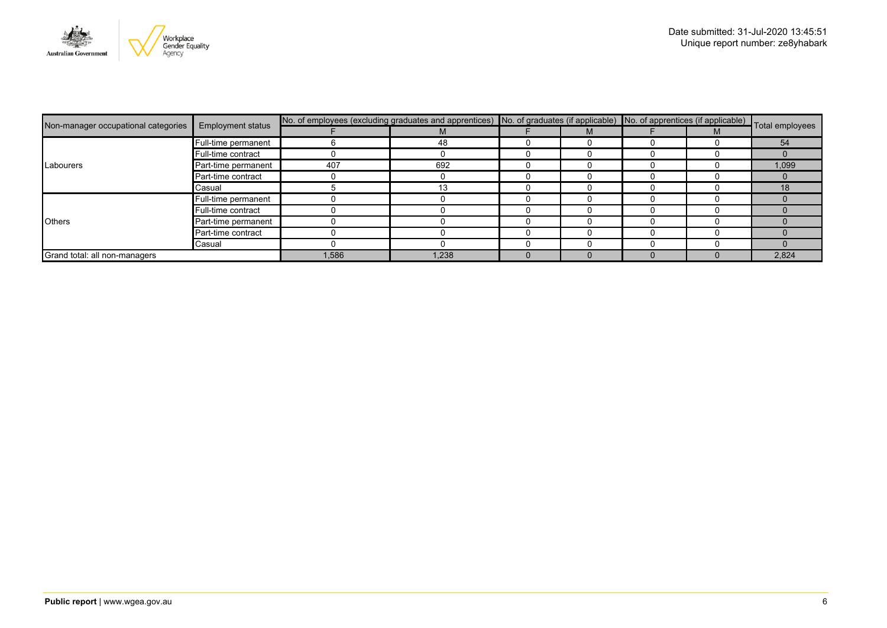

| Non-manager occupational categories | <b>Employment status</b> | No. of employees (excluding graduates and apprentices) No. of graduates (if applicable) No. of apprentices (if applicable) Total employees |       |  |  |  |  |       |
|-------------------------------------|--------------------------|--------------------------------------------------------------------------------------------------------------------------------------------|-------|--|--|--|--|-------|
|                                     |                          |                                                                                                                                            | М     |  |  |  |  |       |
|                                     | Full-time permanent      |                                                                                                                                            | 48    |  |  |  |  | 54    |
|                                     | Full-time contract       |                                                                                                                                            | U     |  |  |  |  |       |
| Labourers                           | Part-time permanent      | 407                                                                                                                                        | 692   |  |  |  |  | 1,099 |
|                                     | Part-time contract       |                                                                                                                                            |       |  |  |  |  |       |
|                                     | Casual                   |                                                                                                                                            |       |  |  |  |  | 18    |
|                                     | Full-time permanent      |                                                                                                                                            |       |  |  |  |  |       |
|                                     | Full-time contract       |                                                                                                                                            |       |  |  |  |  |       |
| <b>Others</b>                       | Part-time permanent      |                                                                                                                                            |       |  |  |  |  |       |
|                                     | Part-time contract       |                                                                                                                                            |       |  |  |  |  |       |
|                                     | Casual                   |                                                                                                                                            |       |  |  |  |  |       |
| Grand total: all non-managers       |                          | 1,586                                                                                                                                      | 1,238 |  |  |  |  | 2,824 |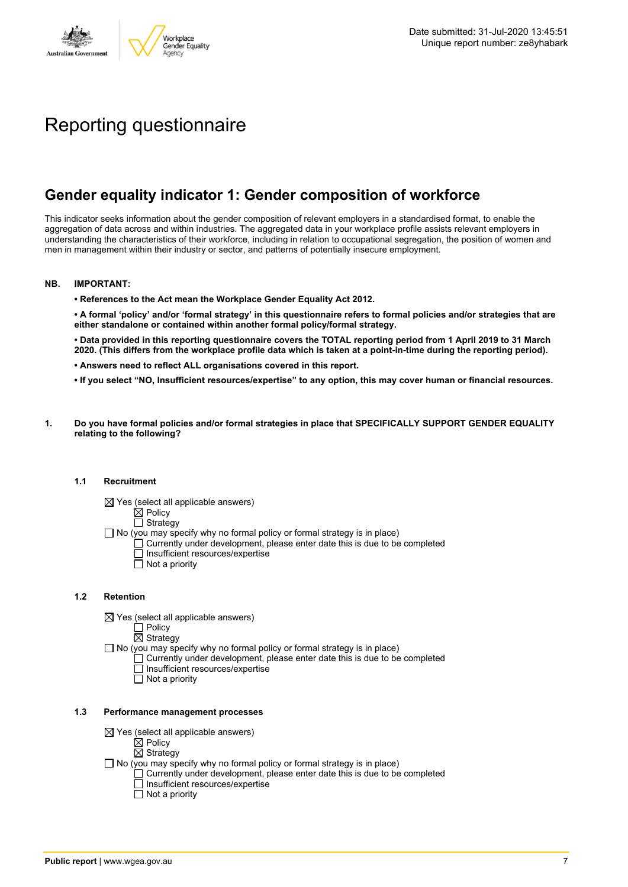

# Reporting questionnaire

### **Gender equality indicator 1: Gender composition of workforce**

This indicator seeks information about the gender composition of relevant employers in a standardised format, to enable the aggregation of data across and within industries. The aggregated data in your workplace profile assists relevant employers in understanding the characteristics of their workforce, including in relation to occupational segregation, the position of women and men in management within their industry or sector, and patterns of potentially insecure employment.

### **NB. IMPORTANT:**

**• References to the Act mean the Workplace Gender Equality Act 2012.**

• A formal 'policy' and/or 'formal strategy' in this questionnaire refers to formal policies and/or strategies that are **either standalone or contained within another formal policy/formal strategy.**

• Data provided in this reporting questionnaire covers the TOTAL reporting period from 1 April 2019 to 31 March 2020. (This differs from the workplace profile data which is taken at a point-in-time during the reporting period).

- **• Answers need to reflect ALL organisations covered in this report.**
- . If you select "NO, Insufficient resources/expertise" to any option, this may cover human or financial resources.
- **1. Do you have formal policies and/or formal strategies in place that SPECIFICALLY SUPPORT GENDER EQUALITY relating to the following?**

### **1.1 Recruitment**

- $\boxtimes$  Yes (select all applicable answers)
	- $\mathbb{\dot{A}}$  Policy
	- $\Box$  Strategy
- No (you may specify why no formal policy or formal strategy is in place)
	- $\Box$  Currently under development, please enter date this is due to be completed
		- $\overline{\Box}$  Insufficient resources/expertise
		- $\Box$  Not a priority

### **1.2 Retention**

- $\boxtimes$  Yes (select all applicable answers)
	- $\Box$  Policy
	- $\boxtimes$  Strategy
- No (you may specify why no formal policy or formal strategy is in place)
	- $\Box$  Currently under development, please enter date this is due to be completed
		- Insufficient resources/expertise
		- Not a priority

#### **1.3 Performance management processes**

- $\boxtimes$  Yes (select all applicable answers)
	- $\mathbb{\dot{Z}}$  Policy
	- $\boxtimes$  Strategy
- $\Box$  No (you may specify why no formal policy or formal strategy is in place)
	- $\Box$  Currently under development, please enter date this is due to be completed
	- $\Box$  Insufficient resources/expertise
	- $\Box$  Not a priority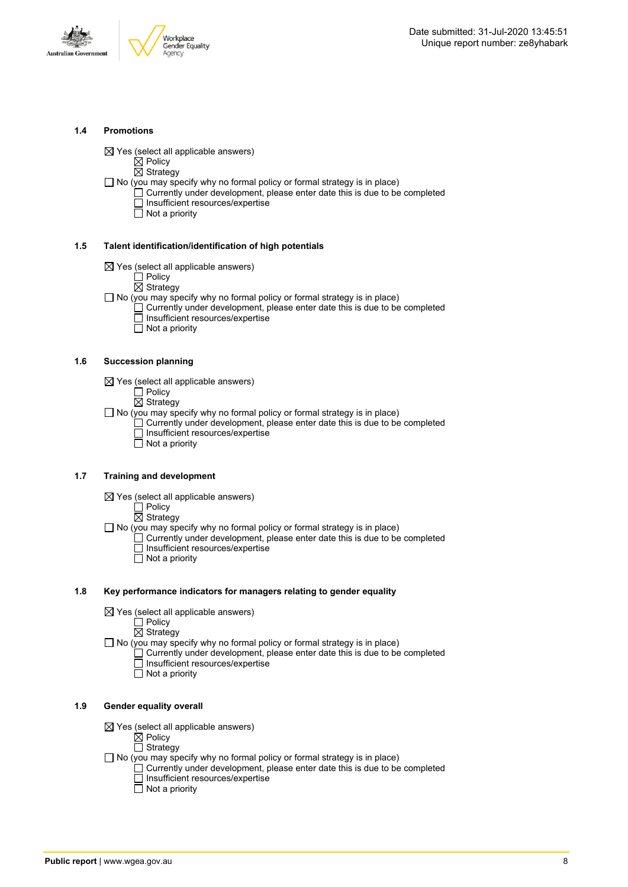



### **1.4 Promotions**

 $\boxtimes$  Yes (select all applicable answers)

 $\boxtimes$  Policy

 $\overline{\boxtimes}$  Strategy

 $\Box$  No (you may specify why no formal policy or formal strategy is in place)

- $\Box$  Currently under development, please enter date this is due to be completed □ Insufficient resources/expertise
	- $\overline{\Box}$  Not a priority

### **1.5 Talent identification/identification of high potentials**

- $\boxtimes$  Yes (select all applicable answers)
	- Policy

 $\overline{\boxtimes}$  Strategy

- $\Box$  No (you may specify why no formal policy or formal strategy is in place)
	- Currently under development, please enter date this is due to be completed Insufficient resources/expertise
		- $\overline{\Box}$  Not a priority

### **1.6 Succession planning**

- $\boxtimes$  Yes (select all applicable answers)
	- $\Box$  Policy
	- $\overline{\boxtimes}$  Strategy

 $\Box$  No (you may specify why no formal policy or formal strategy is in place)

- $\Box$  Currently under development, please enter date this is due to be completed Insufficient resources/expertise
- Not a priority

### **1.7 Training and development**

- $\boxtimes$  Yes (select all applicable answers)
	- $\square$  Policy

 $\overline{\boxtimes}$  Strategy

 $\Box$  No (you may specify why no formal policy or formal strategy is in place)

- Currently under development, please enter date this is due to be completed Insufficient resources/expertise
	- $\Box$  Not a priority

### **1.8 Key performance indicators for managers relating to gender equality**

 $\boxtimes$  Yes (select all applicable answers)

□ Policy

 $\boxtimes$  Strategy

 $\Box$  No (you may specify why no formal policy or formal strategy is in place)

- $\Box$  Currently under development, please enter date this is due to be completed Insufficient resources/expertise
	- Not a priority

### **1.9 Gender equality overall**

- $\boxtimes$  Yes (select all applicable answers)
	- $\boxtimes$  Policy
	- $\Box$  Strategy
- $\Box$  No (you may specify why no formal policy or formal strategy is in place)
	- $\Box$  Currently under development, please enter date this is due to be completed □ Insufficient resources/expertise
		- $\Box$  Not a priority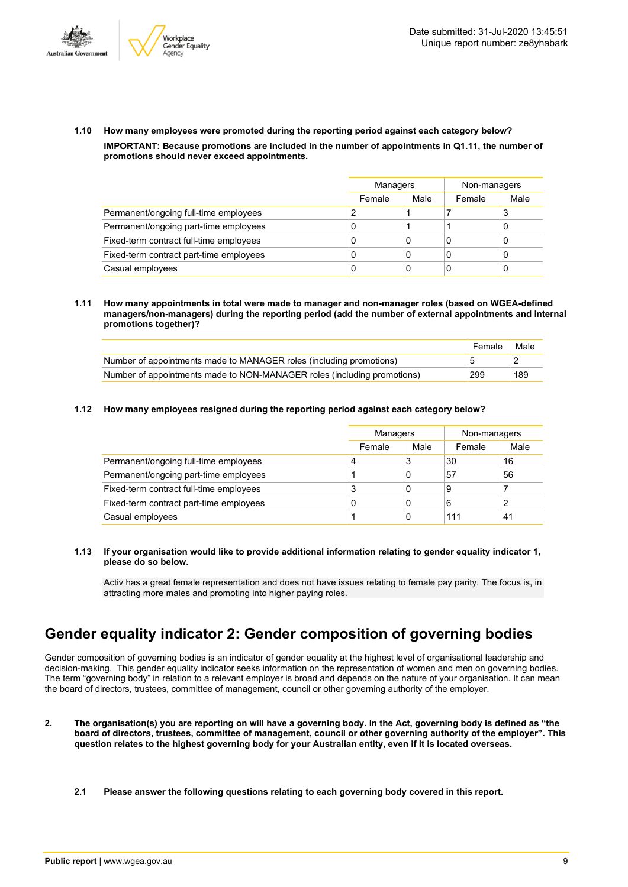



**1.10 How many employees were promoted during the reporting period against each category below? IMPORTANT: Because promotions are included in the number of appointments in Q1.11, the number of promotions should never exceed appointments.**

|                                         |        | <b>Managers</b> |        | Non-managers |
|-----------------------------------------|--------|-----------------|--------|--------------|
|                                         | Female | Male            | Female | Male         |
| Permanent/ongoing full-time employees   |        |                 |        | đ            |
| Permanent/ongoing part-time employees   | 0      |                 |        |              |
| Fixed-term contract full-time employees | 0      | 0               | 0      |              |
| Fixed-term contract part-time employees | 0      | 0               | 0      |              |
| Casual employees                        | 0      | 0               | C      |              |

**1.11 How many appointments in total were made to manager and non-manager roles (based on WGEA-defined managers/non-managers) during the reporting period (add the number of external appointments and internal promotions together)?**

|                                                                         | Female | Male |
|-------------------------------------------------------------------------|--------|------|
| Number of appointments made to MANAGER roles (including promotions)     |        |      |
| Number of appointments made to NON-MANAGER roles (including promotions) | 299    | 189  |

**1.12 How many employees resigned during the reporting period against each category below?**

|                                         | Managers |      | Non-managers |      |
|-----------------------------------------|----------|------|--------------|------|
|                                         | Female   | Male | Female       | Male |
| Permanent/ongoing full-time employees   | 4        | 3    | 30           | 16   |
| Permanent/ongoing part-time employees   |          | 0    | 57           | 56   |
| Fixed-term contract full-time employees | 3        | 0    | 9            |      |
| Fixed-term contract part-time employees | 0        | 0    | 6            | っ    |
| Casual employees                        |          | 0    | 111          | 41   |

**1.13 If your organisation would like to provide additional information relating to gender equality indicator 1, please do so below.**

Activ has a great female representation and does not have issues relating to female pay parity. The focus is, in attracting more males and promoting into higher paying roles.

### **Gender equality indicator 2: Gender composition of governing bodies**

Gender composition of governing bodies is an indicator of gender equality at the highest level of organisational leadership and decision-making. This gender equality indicator seeks information on the representation of women and men on governing bodies. The term "governing body" in relation to a relevant employer is broad and depends on the nature of your organisation. It can mean the board of directors, trustees, committee of management, council or other governing authority of the employer.

- 2. The organisation(s) you are reporting on will have a governing body. In the Act, governing body is defined as "the board of directors, trustees, committee of management, council or other governing authority of the employer". This question relates to the highest governing body for your Australian entity, even if it is located overseas.
	- **2.1 Please answer the following questions relating to each governing body covered in this report.**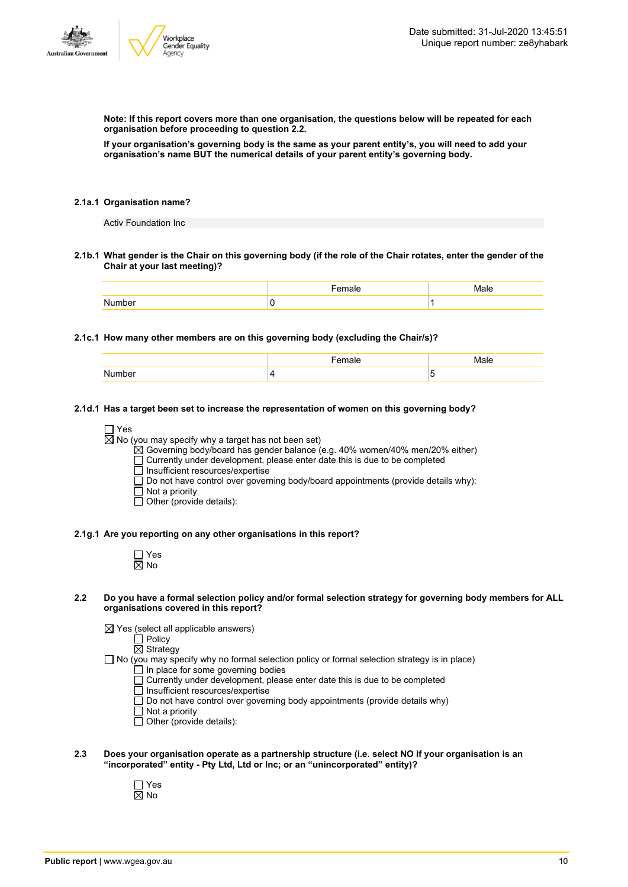

**Note: If this report covers more than one organisation, the questions below will be repeated for each organisation before proceeding to question 2.2.**

If your organisation's governing body is the same as your parent entity's, you will need to add your **organisation's name BUT the numerical details of your parent entity's governing body.**

### **2.1a.1 Organisation name?**

Activ Foundation Inc

2.1b.1 What gender is the Chair on this governing body (if the role of the Chair rotates, enter the gender of the **Chair at your last meeting)?**

### **2.1c.1 How many other members are on this governing body (excluding the Chair/s)?**

| N<br>™mhe. | -<br>×. |
|------------|---------|

### **2.1d.1 Has a target been set to increase the representation of women on this governing body?**

```
\Box Yes
```
 $\boxtimes$  No (you may specify why a target has not been set)

 $\boxtimes$  Governing body/board has gender balance (e.g. 40% women/40% men/20% either)

 $\Box$  Currently under development, please enter date this is due to be completed

 $\overline{\Box}$  Insufficient resources/expertise

 $\square$  Do not have control over governing body/board appointments (provide details why):

- $\Box$  Not a priority
- Other (provide details):

#### **2.1g.1 Are you reporting on any other organisations in this report?**

| n<br>۸ľ<br>Y, |
|---------------|

#### 2.2 Do you have a formal selection policy and/or formal selection strategy for governing body members for ALL **organisations covered in this report?**

 $\boxtimes$  Yes (select all applicable answers)

Policy

Strategy  $\Box$  No (you may specify why no formal selection policy or formal selection strategy is in place)

- In place for some governing bodies
- Currently under development, please enter date this is due to be completed
- Insufficient resources/expertise
- $\Box$  Do not have control over governing body appointments (provide details why)
- $\Box$  Not a priority
- $\Box$  Other (provide details):
- **2.3 Does your organisation operate as a partnership structure (i.e. select NO if your organisation is an "incorporated" entity - Pty Ltd, Ltd or Inc; or an "unincorporated" entity)?**
	- Yes  $\overline{\boxtimes}$  No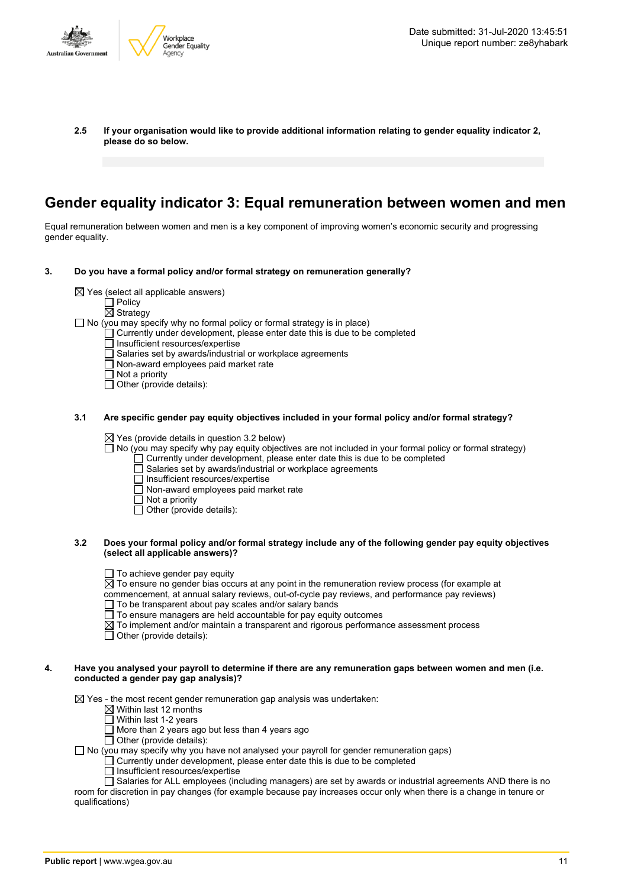

**2.5 If your organisation would like to provide additional information relating to gender equality indicator 2, please do so below.**

### **Gender equality indicator 3: Equal remuneration between women and men**

Equal remuneration between women and men is a key component of improving women's economic security and progressing gender equality.

- **3. Do you have a formal policy and/or formal strategy on remuneration generally?**
	- $\boxtimes$  Yes (select all applicable answers)
		-
		- $\Box$  Policy
		- $\overline{\boxtimes}$  Strategy
	- $\Box$  No (you may specify why no formal policy or formal strategy is in place)
		- $\Box$  Currently under development, please enter date this is due to be completed
		- Insufficient resources/expertise
		- Salaries set by awards/industrial or workplace agreements
		- $\Box$  Non-award employees paid market rate
		- $\Box$  Not a priority
		- $\Box$  Other (provide details):

### **3.1 Are specific gender pay equity objectives included in your formal policy and/or formal strategy?**

 $\boxtimes$  Yes (provide details in question 3.2 below)

 $\Box$  No (you may specify why pay equity objectives are not included in your formal policy or formal strategy)

- $\Box$  Currently under development, please enter date this is due to be completed
- Salaries set by awards/industrial or workplace agreements
- □ Insufficient resources/expertise<br>□ Non-award employees paid ma
- $\overline{\Box}$  Non-award employees paid market rate
- $\Box$  Not a priority
- $\Box$  Other (provide details):

### 3.2 Does your formal policy and/or formal strategy include any of the following gender pay equity objectives **(select all applicable answers)?**

- $\Box$  To achieve gender pay equity
- $\overline{\boxtimes}$  To ensure no gender bias occurs at any point in the remuneration review process (for example at
- commencement, at annual salary reviews, out-of-cycle pay reviews, and performance pay reviews)
- To be transparent about pay scales and/or salary bands
- To ensure managers are held accountable for pay equity outcomes
- $\boxtimes$  To implement and/or maintain a transparent and rigorous performance assessment process
- $\Box$  Other (provide details):

### 4. Have you analysed your payroll to determine if there are any remuneration gaps between women and men (i.e. **conducted a gender pay gap analysis)?**

 $\boxtimes$  Yes - the most recent gender remuneration gap analysis was undertaken:

- $\boxtimes$  Within last 12 months
- $\overline{\Box}$  Within last 1-2 years
- $\Box$  More than 2 years ago but less than 4 years ago

 $\Box$  Other (provide details):

 $\Box$  No (you may specify why you have not analysed your payroll for gender remuneration gaps)

- $\Box$  Currently under development, please enter date this is due to be completed
- $\Box$  Insufficient resources/expertise

 $\Box$  Salaries for ALL employees (including managers) are set by awards or industrial agreements AND there is no room for discretion in pay changes (for example because pay increases occur only when there is a change in tenure or qualifications)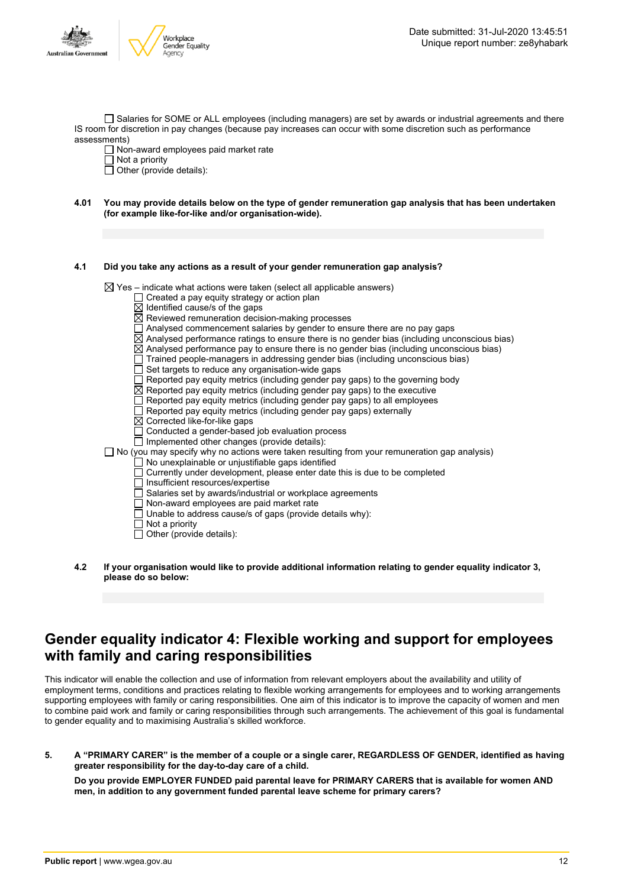

Salaries for SOME or ALL employees (including managers) are set by awards or industrial agreements and there IS room for discretion in pay changes (because pay increases can occur with some discretion such as performance assessments)

Non-award employees paid market rate

 $\Box$  Not a priority

- $\Box$  Other (provide details):
- 4.01 You may provide details below on the type of gender remuneration gap analysis that has been undertaken **(for example like-for-like and/or organisation-wide).**

### **4.1 Did you take any actions as a result of your gender remuneration gap analysis?**

 $\boxtimes$  Yes – indicate what actions were taken (select all applicable answers)

- $\Box$  Created a pay equity strategy or action plan
- $\overline{\boxtimes}$  Identified cause/s of the gaps
- $\overline{\boxtimes}$  Reviewed remuneration decision-making processes
- $\Box$  Analysed commencement salaries by gender to ensure there are no pay gaps
- $\boxtimes$  Analysed performance ratings to ensure there is no gender bias (including unconscious bias)
- $\boxtimes$  Analysed performance pay to ensure there is no gender bias (including unconscious bias)
- $\Box$  Trained people-managers in addressing gender bias (including unconscious bias)
- $\Box$  Set targets to reduce any organisation-wide gaps
- $\overline{\Box}$  Reported pay equity metrics (including gender pay gaps) to the governing body
- $\boxtimes$  Reported pay equity metrics (including gender pay gaps) to the executive
- $\overline{\Box}$  Reported pay equity metrics (including gender pay gaps) to all employees
- $\Box$  Reported pay equity metrics (including gender pay gaps) externally
- Corrected like-for-like gaps
- □ Conducted a gender-based job evaluation process
- $\Box$  Implemented other changes (provide details):
- $\square$  No (you may specify why no actions were taken resulting from your remuneration gap analysis)
	- No unexplainable or unjustifiable gaps identified
	- Currently under development, please enter date this is due to be completed
	- $\overline{\Box}$  Insufficient resources/expertise
	- $\Box$  Salaries set by awards/industrial or workplace agreements
	- Non-award employees are paid market rate
	- Unable to address cause/s of gaps (provide details why):
	- $\overline{\Box}$  Not a priority
	- $\Box$  Other (provide details):
- **4.2 If your organisation would like to provide additional information relating to gender equality indicator 3, please do so below:**

### **Gender equality indicator 4: Flexible working and support for employees with family and caring responsibilities**

This indicator will enable the collection and use of information from relevant employers about the availability and utility of employment terms, conditions and practices relating to flexible working arrangements for employees and to working arrangements supporting employees with family or caring responsibilities. One aim of this indicator is to improve the capacity of women and men to combine paid work and family or caring responsibilities through such arrangements. The achievement of this goal is fundamental to gender equality and to maximising Australia's skilled workforce.

5. A "PRIMARY CARER" is the member of a couple or a single carer, REGARDLESS OF GENDER, identified as having **greater responsibility for the day-to-day care of a child.**

**Do you provide EMPLOYER FUNDED paid parental leave for PRIMARY CARERS that is available for women AND men, in addition to any government funded parental leave scheme for primary carers?**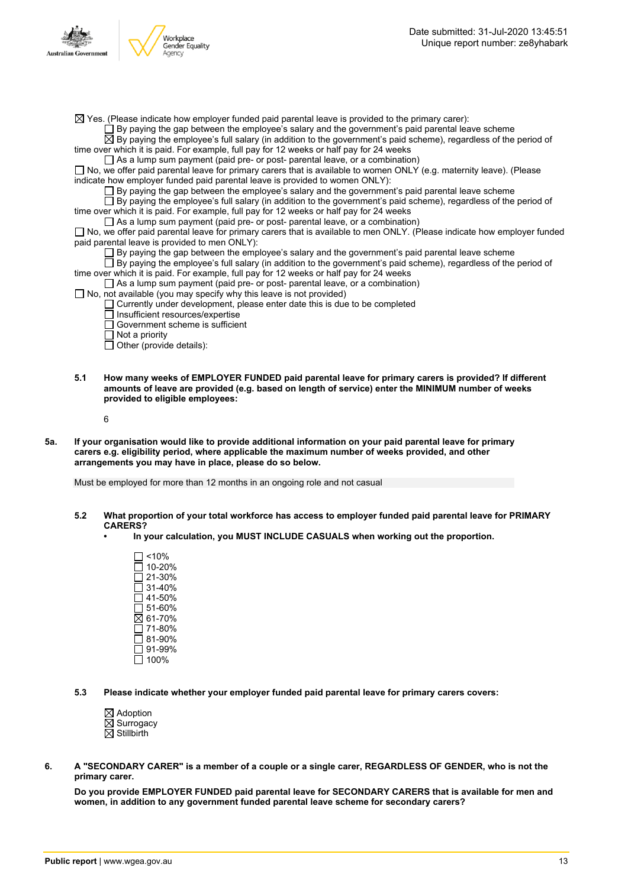

 $\boxtimes$  Yes. (Please indicate how employer funded paid parental leave is provided to the primary carer):

 $\Box$  By paying the gap between the employee's salary and the government's paid parental leave scheme

 $\overline{\boxtimes}$  By paying the employee's full salary (in addition to the government's paid scheme), regardless of the period of time over which it is paid. For example, full pay for 12 weeks or half pay for 24 weeks

 $\Box$  As a lump sum payment (paid pre- or post- parental leave, or a combination)

 $\Box$  No, we offer paid parental leave for primary carers that is available to women ONLY (e.g. maternity leave). (Please indicate how employer funded paid parental leave is provided to women ONLY):

By paying the gap between the employee's salary and the government's paid parental leave scheme

By paying the employee's full salary (in addition to the government's paid scheme), regardless of the period of time over which it is paid. For example, full pay for 12 weeks or half pay for 24 weeks

 $\Box$  As a lump sum payment (paid pre- or post- parental leave, or a combination)

□ No, we offer paid parental leave for primary carers that is available to men ONLY. (Please indicate how employer funded paid parental leave is provided to men ONLY):

By paying the gap between the employee's salary and the government's paid parental leave scheme

 $\Box$  By paying the employee's full salary (in addition to the government's paid scheme), regardless of the period of time over which it is paid. For example, full pay for 12 weeks or half pay for 24 weeks

- $\Box$  As a lump sum payment (paid pre- or post- parental leave, or a combination)
- $\Box$  No, not available (you may specify why this leave is not provided)
	- $\Box$  Currently under development, please enter date this is due to be completed
		- Insufficient resources/expertise
		- Government scheme is sufficient
	- $\overline{\Box}$  Not a priority
	- $\Box$  Other (provide details):
- **5.1 How many weeks of EMPLOYER FUNDED paid parental leave for primary carers is provided? If different amounts of leave are provided (e.g. based on length of service) enter the MINIMUM number of weeks provided to eligible employees:**

6

5a. If your organisation would like to provide additional information on your paid parental leave for primary **carers e.g. eligibility period, where applicable the maximum number of weeks provided, and other arrangements you may have in place, please do so below.**

Must be employed for more than 12 months in an ongoing role and not casual

- **5.2 What proportion of your total workforce has access to employer funded paid parental leave for PRIMARY CARERS?**
	- **• In your calculation, you MUST INCLUDE CASUALS when working out the proportion.**
		- <10% 10-20%  $\overline{\Box}$  21-30%  $\Box$  31-40% 41-50% 51-60%  $\overline{\boxtimes}$  61-70%  $\Box$  71-80% 81-90% 91-99%  $\overline{\Box}$  100%

**5.3 Please indicate whether your employer funded paid parental leave for primary carers covers:**

- $\boxtimes$  Adoption  $\boxtimes$  Surrogacy  $\overline{\boxtimes}$  Stillbirth
- 6. A "SECONDARY CARER" is a member of a couple or a single carer, REGARDLESS OF GENDER, who is not the **primary carer.**

**Do you provide EMPLOYER FUNDED paid parental leave for SECONDARY CARERS that is available for men and women, in addition to any government funded parental leave scheme for secondary carers?**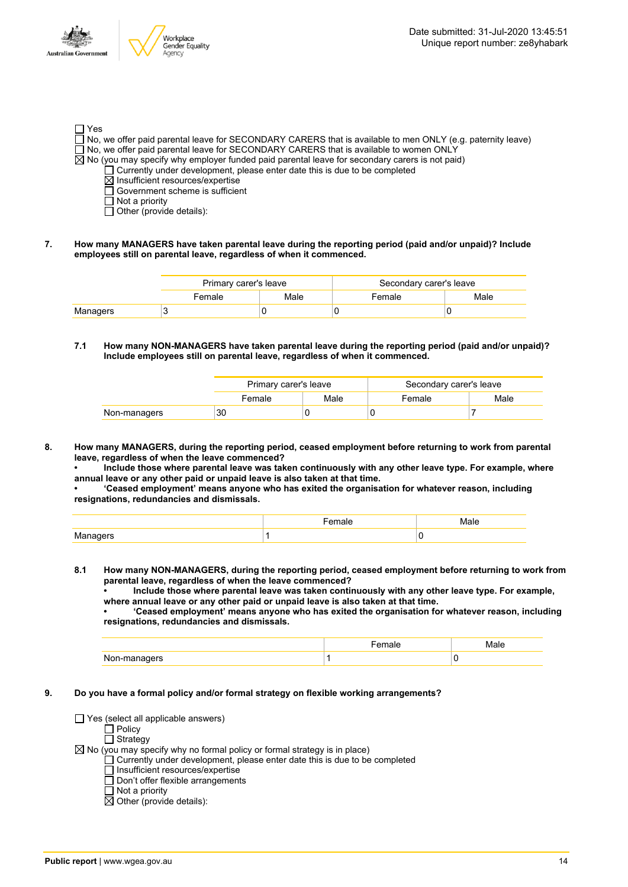Australia

| $\Box$ Yes |                                                                                                                   |
|------------|-------------------------------------------------------------------------------------------------------------------|
|            | $\Box$ No, we offer paid parental leave for SECONDARY CARERS that is available to men ONLY (e.g. paternity leave) |
|            | $\Box$ No, we offer paid parental leave for SECONDARY CARERS that is available to women ONLY                      |
|            | $\boxtimes$ No (you may specify why employer funded paid parental leave for secondary carers is not paid)         |
|            | $\Box$ Currently under development, please enter date this is due to be completed                                 |
|            | $\boxtimes$ Insufficient resources/expertise                                                                      |
|            | $\Box$ Government scheme is sufficient                                                                            |
|            | $\Box$ Not a priority                                                                                             |
|            | $\Box$ Other (provide details):                                                                                   |

**7. How many MANAGERS have taken parental leave during the reporting period (paid and/or unpaid)? Include employees still on parental leave, regardless of when it commenced.**

|          | Primary carer's leave |      | Secondary carer's leave |      |  |
|----------|-----------------------|------|-------------------------|------|--|
|          | Female                | Male | Female                  | Male |  |
| Managers |                       |      |                         |      |  |

**7.1 How many NON-MANAGERS have taken parental leave during the reporting period (paid and/or unpaid)? Include employees still on parental leave, regardless of when it commenced.**

|              | Primary carer's leave |      | Secondary carer's leave |      |  |
|--------------|-----------------------|------|-------------------------|------|--|
|              | Female                | Male | Female                  | Male |  |
| Non-managers | 30                    |      |                         |      |  |

- **8. How many MANAGERS, during the reporting period, ceased employment before returning to work from parental leave, regardless of when the leave commenced?**
	- **• Include those where parental leave was taken continuously with any other leave type. For example, where annual leave or any other paid or unpaid leave is also taken at that time.**

**• 'Ceased employment' means anyone who has exited the organisation for whatever reason, including resignations, redundancies and dismissals.**

| $\cdots$ |  |
|----------|--|

**8.1 How many NON-MANAGERS, during the reporting period, ceased employment before returning to work from parental leave, regardless of when the leave commenced?**

**• Include those where parental leave was taken continuously with any other leave type. For example, where annual leave or any other paid or unpaid leave is also taken at that time.**

**• 'Ceased employment' means anyone who has exited the organisation for whatever reason, including resignations, redundancies and dismissals.**

|                  | .<br>ые |   |
|------------------|---------|---|
| Non-ma<br>naners |         | v |

**9. Do you have a formal policy and/or formal strategy on flexible working arrangements?**

 $\Box$  Yes (select all applicable answers)

Policy

Strategy

 $\boxtimes$  No (you may specify why no formal policy or formal strategy is in place)

- Currently under development, please enter date this is due to be completed
	- Insufficient resources/expertise
	- Don't offer flexible arrangements
- $\overline{\Pi}$  Not a priority

 $\boxtimes$  Other (provide details):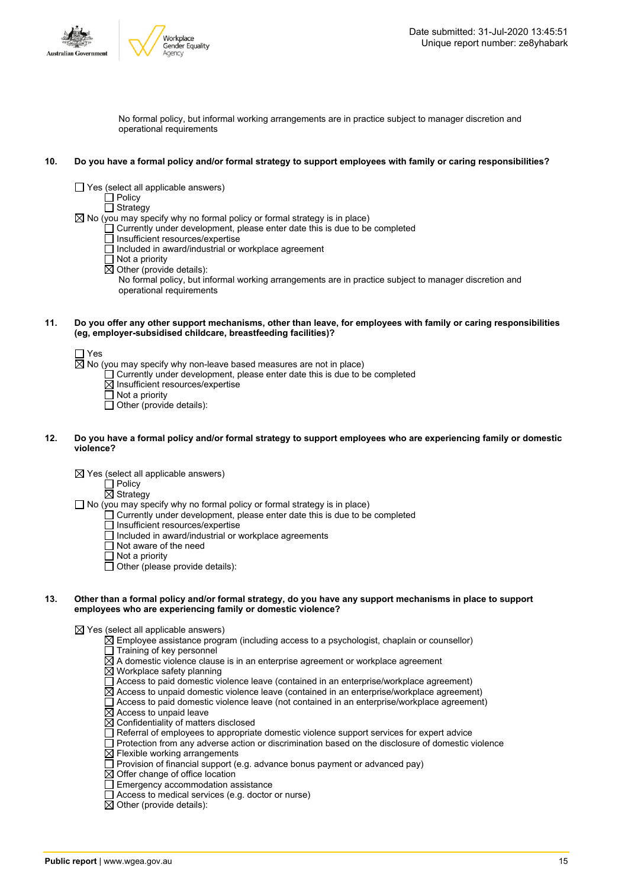



No formal policy, but informal working arrangements are in practice subject to manager discretion and operational requirements

### 10. Do you have a formal policy and/or formal strategy to support employees with family or caring responsibilities?

- $\Box$  Yes (select all applicable answers)
	- $\Box$  Policy

 $\Box$  Strategy

- $\boxtimes$  No (you may specify why no formal policy or formal strategy is in place)
	- $\Box$  Currently under development, please enter date this is due to be completed
	- $\Box$  Insufficient resources/expertise
	- Included in award/industrial or workplace agreement
	- Not a priority
	- $\boxtimes$  Other (provide details):

No formal policy, but informal working arrangements are in practice subject to manager discretion and operational requirements

#### 11. Do you offer any other support mechanisms, other than leave, for employees with family or caring responsibilities **(eg, employer-subsidised childcare, breastfeeding facilities)?**

 $\Box$  Yes

- $\overline{\boxtimes}$  No (you may specify why non-leave based measures are not in place)
	- $\Box$  Currently under development, please enter date this is due to be completed
	- $\boxtimes$  Insufficient resources/expertise
	- $\Box$  Not a priority
	- $\Box$  Other (provide details):

### 12. Do you have a formal policy and/or formal strategy to support employees who are experiencing family or domestic **violence?**

 $\boxtimes$  Yes (select all applicable answers)

 $\Box$  Policy

 $\overline{\boxtimes}$  Strategy

- $\Box$  No (you may specify why no formal policy or formal strategy is in place)
	- Currently under development, please enter date this is due to be completed
	- Insufficient resources/expertise
	- $\overline{\Box}$  Included in award/industrial or workplace agreements
	- Not aware of the need
	- Not a priority
	- Other (please provide details):

### 13. Other than a formal policy and/or formal strategy, do you have any support mechanisms in place to support **employees who are experiencing family or domestic violence?**

 $\boxtimes$  Yes (select all applicable answers)

- $\overline{\boxtimes}$  Employee assistance program (including access to a psychologist, chaplain or counsellor)
- $\overline{\Box}$  Training of key personnel
- $\Xi$  A domestic violence clause is in an enterprise agreement or workplace agreement
- $\boxtimes$  Workplace safety planning
- Access to paid domestic violence leave (contained in an enterprise/workplace agreement)
- $\boxtimes$  Access to unpaid domestic violence leave (contained in an enterprise/workplace agreement)
- $\overline{\Box}$  Access to paid domestic violence leave (not contained in an enterprise/workplace agreement)  $\boxtimes$  Access to unpaid leave
- $\overline{\boxtimes}$  Confidentiality of matters disclosed
- $\Box$  Referral of employees to appropriate domestic violence support services for expert advice
- Protection from any adverse action or discrimination based on the disclosure of domestic violence
- $\boxtimes$  Flexible working arrangements
- $\Box$  Provision of financial support (e.g. advance bonus payment or advanced pay)
- $\boxtimes$  Offer change of office location
- $\Box$  Emergency accommodation assistance
- $\overline{\Box}$  Access to medical services (e.g. doctor or nurse)
- $\overline{\boxtimes}$  Other (provide details):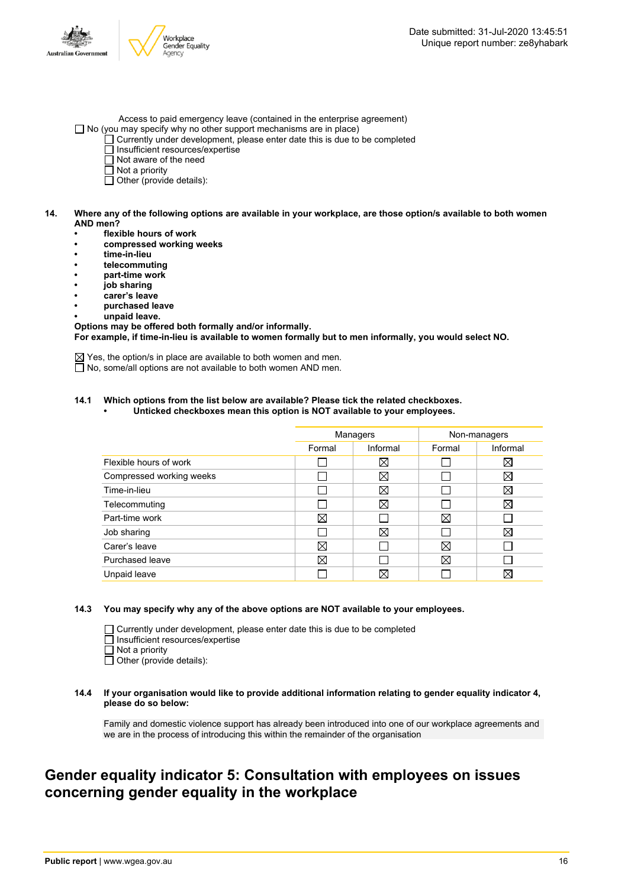

- Access to paid emergency leave (contained in the enterprise agreement)  $\Box$  No (you may specify why no other support mechanisms are in place)
	- $\Box$  Currently under development, please enter date this is due to be completed
		- $\Box$  Insufficient resources/expertise
		- Not aware of the need
	- $\overline{\Box}$  Not a priority
	- Other (provide details):

### 14. Where any of the following options are available in your workplace, are those option/s available to both women **AND men?**

- **• flexible hours of work**
- **• compressed working weeks**
- **• time-in-lieu**
- **• telecommuting**
- **• part-time work**
- **• job sharing**
- **• carer's leave**
- **• purchased leave**
- **• unpaid leave.**

**Options may be offered both formally and/or informally. For example, if time-in-lieu is available to women formally but to men informally, you would select NO.**

 $\boxtimes$  Yes, the option/s in place are available to both women and men.

□ No, some/all options are not available to both women AND men.

### **14.1 Which options from the list below are available? Please tick the related checkboxes.**

**• Unticked checkboxes mean this option is NOT available to your employees.**

|                          | Managers |             | Non-managers |             |
|--------------------------|----------|-------------|--------------|-------------|
|                          | Formal   | Informal    | Formal       | Informal    |
| Flexible hours of work   |          | ⊠           |              | $\boxtimes$ |
| Compressed working weeks |          | ⊠           |              | ⊠           |
| Time-in-lieu             |          | ⊠           |              | $\boxtimes$ |
| Telecommuting            |          | ⊠           |              | $\boxtimes$ |
| Part-time work           | ⊠        |             | ⊠            |             |
| Job sharing              |          | ⊠           |              | ⋈           |
| Carer's leave            | ⊠        |             | $\boxtimes$  |             |
| Purchased leave          | ⊠        |             | ⊠            |             |
| Unpaid leave             |          | $\boxtimes$ |              | ⋈           |

### **14.3 You may specify why any of the above options are NOT available to your employees.**

 $\Box$  Currently under development, please enter date this is due to be completed Insufficient resources/expertise Not a priority

 $\Box$  Other (provide details):

#### **14.4 If your organisation would like to provide additional information relating to gender equality indicator 4, please do so below:**

Family and domestic violence support has already been introduced into one of our workplace agreements and we are in the process of introducing this within the remainder of the organisation

### **Gender equality indicator 5: Consultation with employees on issues concerning gender equality in the workplace**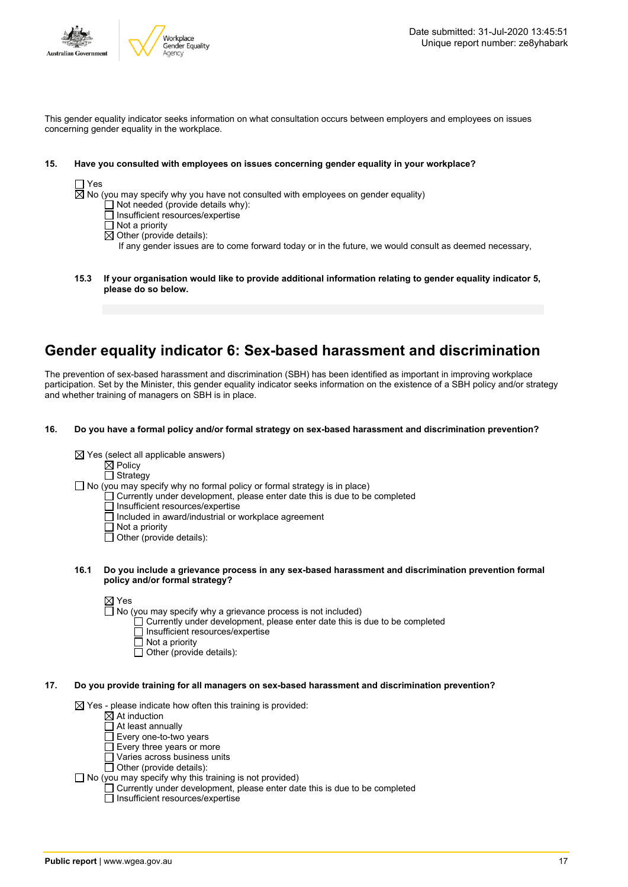

This gender equality indicator seeks information on what consultation occurs between employers and employees on issues concerning gender equality in the workplace.

### **15. Have you consulted with employees on issues concerning gender equality in your workplace?**

No (you may specify why you have not consulted with employees on gender equality)

- $\Box$  Not needed (provide details why):
- $\Box$  Insufficient resources/expertise
- $\overline{\Box}$  Not a priority
- $\overline{\boxtimes}$  Other (provide details):

If any gender issues are to come forward today or in the future, we would consult as deemed necessary,

**15.3 If your organisation would like to provide additional information relating to gender equality indicator 5, please do so below.**

### **Gender equality indicator 6: Sex-based harassment and discrimination**

The prevention of sex-based harassment and discrimination (SBH) has been identified as important in improving workplace participation. Set by the Minister, this gender equality indicator seeks information on the existence of a SBH policy and/or strategy and whether training of managers on SBH is in place.

### **16. Do you have a formal policy and/or formal strategy on sex-based harassment and discrimination prevention?**

|  |  |  | $\boxtimes$ Yes (select all applicable answers) |  |
|--|--|--|-------------------------------------------------|--|
|--|--|--|-------------------------------------------------|--|

 $\dot{\boxtimes}$  Policy  $\Box$  Strategy

 $\Box$  No (you may specify why no formal policy or formal strategy is in place)

 $\Box$  Currently under development, please enter date this is due to be completed

 $\overline{\Box}$  Insufficient resources/expertise

- $\Box$  Included in award/industrial or workplace agreement
- $\overline{\Box}$  Not a priority
- $\Box$  Other (provide details):
- **16.1 Do you include a grievance process in any sex-based harassment and discrimination prevention formal policy and/or formal strategy?**

⊠ Yes

 $\Box$  No (you may specify why a grievance process is not included)

- Currently under development, please enter date this is due to be completed
	- Insufficient resources/expertise
	- $\Box$  Not a priority
	- $\Box$  Other (provide details):

### **17. Do you provide training for all managers on sex-based harassment and discrimination prevention?**

 $\boxtimes$  Yes - please indicate how often this training is provided:

- $\boxtimes$  At induction
- At least annually
- $\Box$  Every one-to-two years
- $\Box$  Every three years or more
- Varies across business units Other (provide details):
- 

 $\Box$  No (you may specify why this training is not provided)

Currently under development, please enter date this is due to be completed

 $\Box$  Insufficient resources/expertise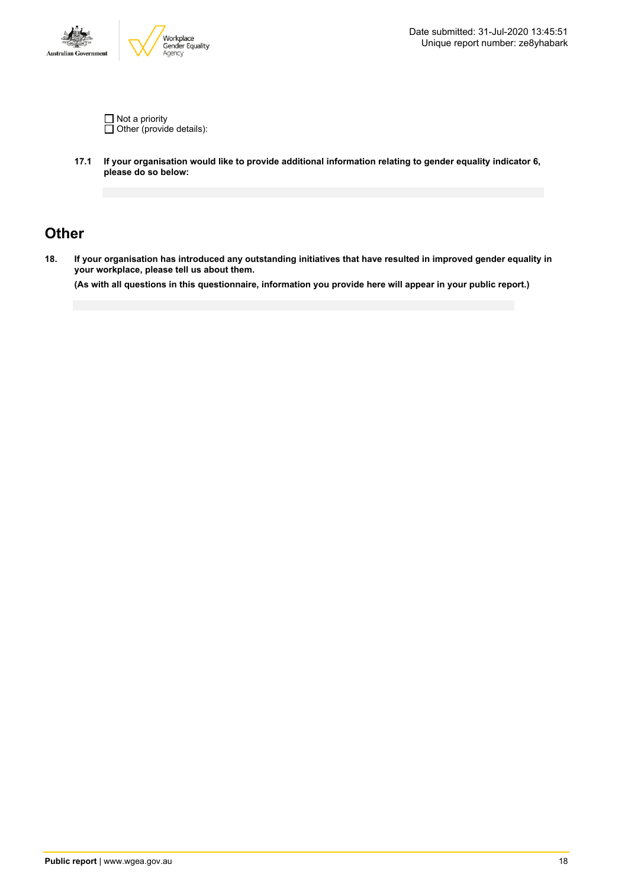

Not a priority Other (provide details):

**17.1 If your organisation would like to provide additional information relating to gender equality indicator 6, please do so below:**

### **Other**

18. If your organisation has introduced any outstanding initiatives that have resulted in improved gender equality in **your workplace, please tell us about them.**

(As with all questions in this questionnaire, information you provide here will appear in your public report.)